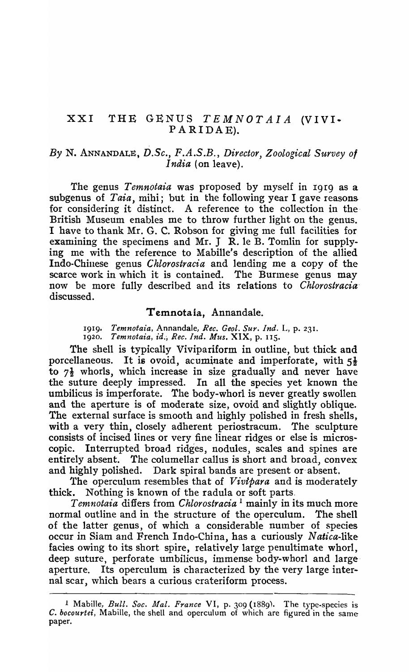## $XXI$  THE GENUS  $TEMNOTAIA$  (VIVI $\bullet$ P A RIDAE).

## *By* N. ANNANDALE, *D.Sc., F.A.S.B., Director, Zoological Sttrvey of India* (on leave).

The genus *Temnotaia* was proposed by myself in 19r9 as a subgenus of *Taia,* mihi; but in the following year I gave reasons for considering it distinct. A reference to the collection in the-British Museum enables me to throw further light on the genus. I have to thank Mr. G. C. Robson for giving me full facilities for examining the specimens and Mr. J  $\tilde{R}$ . le B. Tomlin for supplying me with the reference to Mabille's description of the allied Indo-Chinese genus *Chlorostracia* and lending me a copy of the scarce work in which it is contained. The Burmese genus may now be more fully described and its relations to *Chlorostracia*discussed.

## Temnotaia, Annandale.

1919. Temnotaia, Annandale, Rec. Geol. Sur. Ind. L, p. 231. 1920. *Temnotaia, id., Rec. Ind. Mus.* XIX, p. 115.

The shell is typically Vivipariform in outline, but thick and porcellaneous. It is ovoid, acuminate and imperforate, with  $5\frac{1}{2}$ to  $7\frac{1}{2}$  whorls, which increase in size gradually and never have the suture deeply impressed. In all the species yet known the umbilicus is imperforate. The body-whorl is never greatly swollen and the aperture is of moderate size, ovoid and slightly oblique. The external surface is smooth and highly polished in fresh shells, with a very thin, closely adherent periostracum. The sculpture consists of incised lines or very fine linear ridges or else is microscopic. Interrupted broad ridges, nodules, scales and spines are entirely absent. The columellar callus is short and broad, convex and highly polished. Dark spiral bands are present or absent.

The operculum resembles that of *Vivtpara* and is moderately thick. Nothing is known of the radula or soft parts.

*Temnotaia* differs from *Chlorostracia* 1 mainly in its much more normal outline and in tbe structure of the operculum. The shell of the latter genus, of which a considerable number of species occur in Siam and French Indo-China, has a curiously N *atica-like*  facies owing to its short spire, relatively large penultimate whorl, deep suture, perforate umbilicus, immense body-whorl and largeaperture. Its operculum is characterized by the very large internal scar, which bears a curious crateriform process.

<sup>&</sup>lt;sup>1</sup> Mabille, *Bull. Soc. Mal. France* VI, p. 309 (1889). The type-species is C. *bocourtei,* Mabille, the shell and operculum of which are figured in the same paper.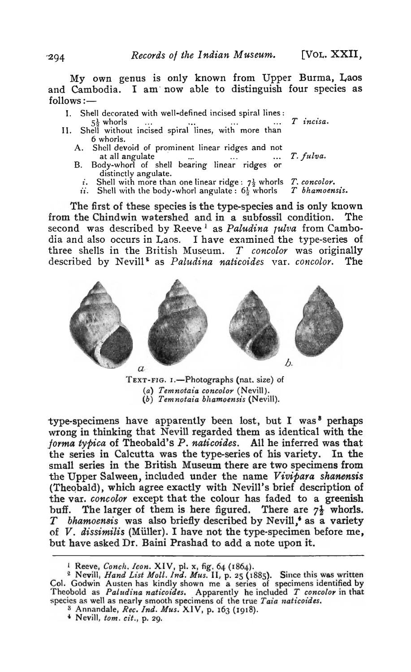My own genus is only known from Upper Burma, Laos and Cambodia. I am now able to distinguish four species as  $follows:$   $-$ 

- I. Shell decorated with well-defined incised spiral lines:
- $5\frac{1}{2}$  whorls ... ..., ..., ... ...  $T$  *incisa*.<br>II. Shell without incised spiral lines, with more than 6 whorls.
	- A. Shell devoid of prominent linear ridges and not at all angulate **... ... ... ...** *T. fulva.*
	- B. Body-whorl of shell bearing linear ridges or distinctly angulate.
		- *i*. Shell with more than one linear ridge:  $7\frac{1}{2}$  whorls *T. concolor.*<br>*ii.* Shell with the body-whorl angulate:  $6\frac{1}{6}$  whorls *T bhamoensis.*

 $ii.$  Shell with the body-whorl angulate:  $6\frac{1}{2}$  whorls

The first of these species is the type-species and is only known from the Chindwin watershed and in a subfossil condition. The second was described by Reeve<sup>1</sup> as *Paludina Julva* from Cambodia and also occurs in Laos. I have examined the type-series of three shells in the British Museum.. *T concolor* 'was originally described by Nevill<sup>2</sup> as *Paludina naticoides* var. *concolor*. The



TEXT-FIG. I.-Photographs (nat. size) of (a) Temnotaia concolor (Nevill).  $(b)$  Temnotaia bhamoensis (Nevill).

type-specimens have apparently been lost, but I was<sup>8</sup> perhaps wrong in thinking that Nevill regarded them as identical with the *.forma typica* of Theobald"s *P. naticoides.* AU he inferred was that the series in Calcutta was the type-series of his variety. In the small series in the British Museum there are two specimens from the Upper Salween, included under the name Vivipara shanensis (Theobald), which agree exactly with Nevill's brief description of the var. *concolor* except that the colour has faded to a greenish buff. The larger of them is here figured. There are  $7\frac{1}{2}$  whorls. *T* bhamoensis was also briefly described by Nevill,<sup>4</sup> as a variety of  $V$ . dissimilis (Müller). I have not the type-specimen before me, but have asked Dr. Baini Prashad to add a note upon it.

3 Annandale, *Rec. Ind. Mus.* XIV, p. 163 (1918).<br>4 Nevill, tom. cit., p. 29.

<sup>&</sup>lt;sup>1</sup> Reeve, *Conch. Icon.* XIV, pl. x, fig. 64 (1864).

<sup>&</sup>lt;sup>2</sup> Nevill, *Hand List Moll. Ind. Mus. II, p. 25 (1885).* Since this was written Col. Godwin Austen has kindly shown me a series of specimens identified by Theobold as *Paludina naticoides*. Apparently he included *T concolor* in that species as well as nearly smooth specimens of the true *Taia naticoides*.